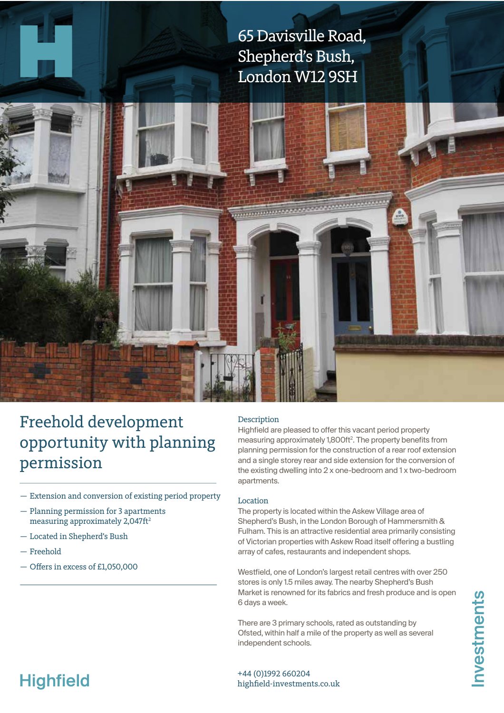65 Davisville Road, Shepherd's Bush, London W12 9SH



- Extension and conversion of existing period property
- Planning permission for 3 apartments measuring approximately  $2,047$ ft<sup>2</sup>
- Located in Shepherd's Bush
- Freehold
- Ofers in excess of £1,050,000

#### Description

,,,,,,,,,,,,,,,,,

Highfield are pleased to offer this vacant period property measuring approximately 1,800ft<sup>2</sup>. The property benefits from planning permission for the consrucion of a rear roof extension and a single storey rear and side extension for the conversion of the exising dwelling into 2 x one-bedroom and 1 x two-bedroom apartments.

#### Location

The property is located within the Askew Village area of Shepherd's Bush, in the London Borough of Hammersmith & Fulham. This is an atracive residential area primarily consising of Victorian properties with Askew Road itself offering a bustling array of cafes, restaurants and independent shops.

Westfield, one of London's largest retail centres with over 250 stores is only 1.5 miles away. The nearby Shepherd's Bush Market is renowned for its fabrics and fresh produce and is open 6 days a week.

There are 3 primary schools, rated as outstanding by Ofsted, within half a mile of the property as well as several independent schools.

nvestments

# **Highfield**

+44 (0)1992 660204 highfeld-investments.co.uk